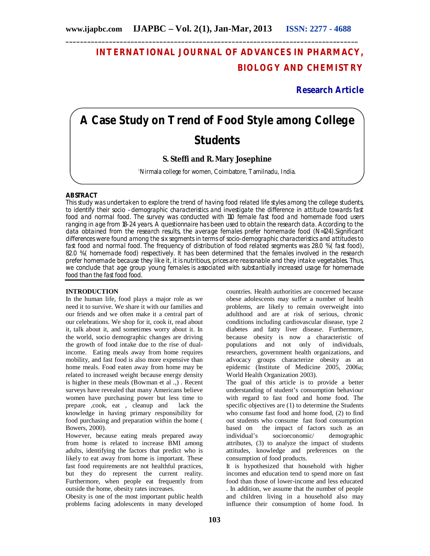# **INTERNATIONAL JOURNAL OF ADVANCES IN PHARMACY, BIOLOGY AND CHEMISTRY**

**Research Article**

# **A Case Study on Trend of Food Style among College Students**

# **S. Steffi and R. Mary Josephine**

<sup>1</sup>Nirmala college for women, Coimbatore, Tamilnadu, India.

## **ABSTRACT**

This study was undertaken to explore the trend of having food related life styles among the college students, to identify their socio –demographic characteristics and investigate the difference in attitude towards fast food and normal food. The survey was conducted with 110 female fast food and homemade food users ranging in age from 18-24 years. A questionnaire has been used to obtain the research data. According to the data obtained from the research results, the average females prefer homemade food (N=124).Significant differences were found among the six segments in terms of socio-demographic characteristics and attitudes to fast food and normal food. The frequency of distribution of food related segments was 28.0 %( fast food), 82.0 %( homemade food) respectively. It has been determined that the females involved in the research prefer homemade because they like it, it is nutritious, prices are reasonable and they intake vegetables. Thus, we conclude that age group young females is associated with substantially increased usage for homemade food than the fast food food.

#### **INTRODUCTION**

In the human life, food plays a major role as we need it to survive. We share it with our families and our friends and we often make it a central part of our celebrations. We shop for it, cook it, read about it, talk about it, and sometimes worry about it. In the world, socio demographic changes are driving the growth of food intake due to the rise of dualincome. Eating meals away from home requires mobility, and fast food is also more expensive than home meals. Food eaten away from home may be related to increased weight because energy density is higher in these meals (Bowman et al .,) . Recent surveys have revealed that many Americans believe women have purchasing power but less time to prepare ,cook, eat , cleanup and lack the knowledge in having primary responsibility for food purchasing and preparation within the home ( Bowers, 2000).

However, because eating meals prepared away from home is related to increase BMI among adults, identifying the factors that predict who is likely to eat away from home is important. These fast food requirements are not healthful practices, but they do represent the current reality. Furthermore, when people eat frequently from outside the home, obesity rates increases.

Obesity is one of the most important public health problems facing adolescents in many developed

countries. Health authorities are concerned because obese adolescents may suffer a number of health problems, are likely to remain overweight into adulthood and are at risk of serious, chronic conditions including cardiovascular disease, type 2 diabetes and fatty liver disease. Furthermore, because obesity is now a characteristic of populations and not only of individuals, researchers, government health organizations, and advocacy groups characterize obesity as an epidemic (Institute of Medicine 2005, 2006a; World Health Organization 2003)*.*

The goal of this article is to provide a better understanding of student's consumption behaviour with regard to fast food and home food. The specific objectives are (1) to determine the Students who consume fast food and home food, (2) to find out students who consume fast food consumption based on the impact of factors such as an individual's socioeconomic/ demographic socioeconomic/ demographic attributes, (3) to analyze the impact of students attitudes, knowledge and preferences on the consumption of food products.

It is hypothesized that household with higher incomes and education tend to spend more on fast food than those of lower-income and less educated . In addition, we assume that the number of people and children living in a household also may influence their consumption of home food. In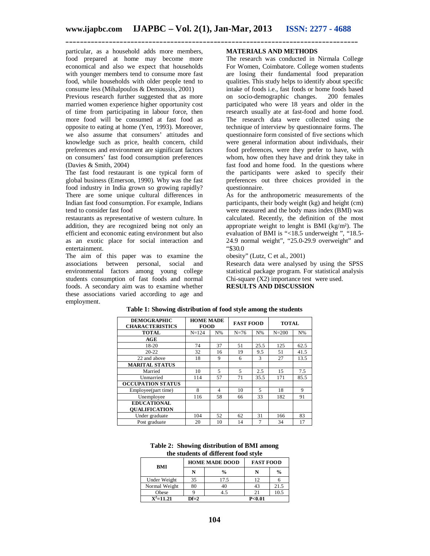particular, as a household adds more members, food prepared at home may become more economical and also we expect that households with younger members tend to consume more fast food, while households with older people tend to consume less (Mihalpoulos & Demoussis, 2001)

Previous research further suggested that as more married women experience higher opportunity cost of time from participating in labour force, then more food will be consumed at fast food as opposite to eating at home (Yen, 1993). Moreover, we also assume that consumers' attitudes and knowledge such as price, health concern, child preferences and environment are significant factors on consumers' fast food consumption preferences (Davies & Smith, 2004)

The fast food restaurant is one typical form of global business (Emerson, 1990). Why was the fast food industry in India grown so growing rapidly? There are some unique cultural differences in Indian fast food consumption. For example, Indians tend to consider fast food

restaurants as representative of western culture. In addition, they are recognized being not only an efficient and economic eating environment but also as an exotic place for social interaction and entertainment.

The aim of this paper was to examine the associations between personal, social and environmental factors among young college students consumption of fast foods and normal foods. A secondary aim was to examine whether these associations varied according to age and employment.

## **MATERIALS AND METHODS**

The research was conducted in Nirmala College For Women, Coimbatore. College women students are losing their fundamental food preparation qualities. This study helps to identify about specific intake of foods i.e., fast foods or home foods based on socio-demographic changes. participated who were 18 years and older in the research usually ate at fast-food and home food. The research data were collected using the technique of interview by questionnaire forms. The questionnaire form consisted of five sections which were general information about individuals, their food preferences, were they prefer to have, with whom, how often they have and drink they take in fast food and home food. In the questions where the participants were asked to specify their preferences out three choices provided in the questionnaire.

As for the anthropometric measurements of the participants, their body weight (kg) and height (cm) were measured and the body mass index (BMI) was calculated. Recently, the definition of the most appropriate weight to lenght is BMI (kg/m²). The evaluation of BMI is "<18.5 underweight ", "18.5- 24.9 normal weight", "25.0-29.9 overweight" and "\$30.0

obesity" (Lutz, C et al., 2001)

Research data were analysed by using the SPSS statistical package program. For statistical analysis Chi-square (X2) importance test were used. **RESULTS AND DISCUSSION**

| <b>DEMOGRAPHIC</b><br><b>CHARACTERISTICS</b> | <b>HOME MADE</b><br><b>FOOD</b> |       | <b>FAST FOOD</b> |       | <b>TOTAL</b> |       |
|----------------------------------------------|---------------------------------|-------|------------------|-------|--------------|-------|
| <b>TOTAL</b>                                 | $N = 124$                       | $N\%$ | $N = 76$         | $N\%$ | $N = 200$    | $N\%$ |
| AGE                                          |                                 |       |                  |       |              |       |
| 18-20                                        | 74                              | 37    | 51               | 25.5  | 125          | 62.5  |
| $20 - 22$                                    | 32                              | 16    | 19               | 9.5   | 51           | 41.5  |
| 22 and above                                 | 18                              | 9     | 6                | 3     | 27           | 13.5  |
| <b>MARITAL STATUS</b>                        |                                 |       |                  |       |              |       |
| Married                                      | 10                              | 5     | 5                | 2.5   | 15           | 7.5   |
| Unmarried                                    | 114                             | 57    | 71               | 35.5  | 171          | 85.5  |
| <b>OCCUPATION STATUS</b>                     |                                 |       |                  |       |              |       |
| Employee(part time)                          | 8                               | 4     | 10               | 5     | 18           | 9     |
| Unemployee                                   | 116                             | 58    | 66               | 33    | 182          | 91    |
| <b>EDUCATIONAL</b>                           |                                 |       |                  |       |              |       |
| <b>OUALIFICATION</b>                         |                                 |       |                  |       |              |       |
| Under graduate                               | 104                             | 52    | 62               | 31    | 166          | 83    |
| Post graduate                                | 20                              | 10    | 14               | 7     | 34           | 17    |

**Table 1: Showing distribution of food style among the students**

|  | Table 2: Showing distribution of BMI among |
|--|--------------------------------------------|
|  | the students of different food style       |

| BMI           |        | <b>HOME MADE DOOD</b> | <b>FAST FOOD</b>  |               |
|---------------|--------|-----------------------|-------------------|---------------|
|               |        | $\frac{0}{0}$         | N                 | $\frac{0}{0}$ |
| Under Weight  | 35     | 17.5                  | 12                |               |
| Normal Weight | 80     | 40                    | 43                | 21.5          |
| Obese         |        | 4.5                   | 21                | 10.5          |
| $X^2$ =11.21  | $Df=2$ |                       | P <sub>0.01</sub> |               |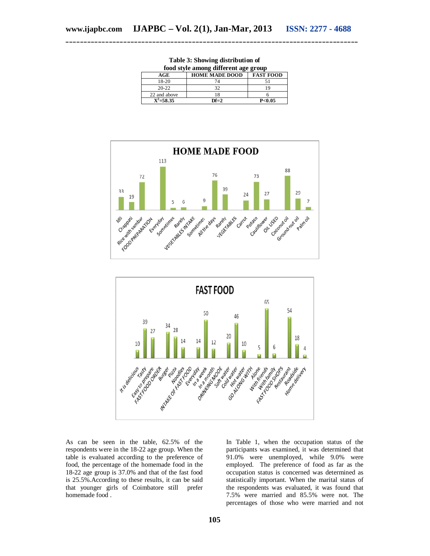|               | food style among different age group |                  |  |  |
|---------------|--------------------------------------|------------------|--|--|
| AGE           | <b>HOME MADE DOOD</b>                | <b>FAST FOOD</b> |  |  |
| 18-20         |                                      |                  |  |  |
| $20-22$       | 32                                   | 19               |  |  |
| 22 and above  | 18                                   |                  |  |  |
| $X^2 = 58.35$ | $DF=2$                               | P<0.05           |  |  |

**Table 3: Showing distribution of**





As can be seen in the table, 62.5% of the respondents were in the 18-22 age group. When the table is evaluated according to the preference of food, the percentage of the homemade food in the 18-22 age group is 37.0% and that of the fast food is 25.5%.According to these results, it can be said that younger girls of Coimbatore still prefer homemade food .

In Table 1, when the occupation status of the participants was examined, it was determined that 91.0% were unemployed, while 9.0% were employed. The preference of food as far as the occupation status is concerned was determined as statistically important. When the marital status of the respondents was evaluated, it was found that 7.5% were married and 85.5% were not. The percentages of those who were married and not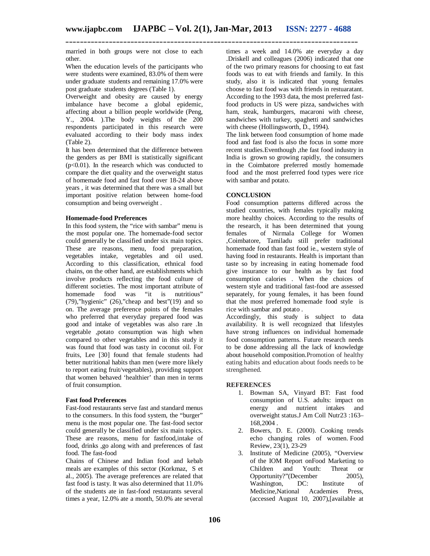married in both groups were not close to each other.

When the education levels of the participants who were students were examined, 83.0% of them were under graduate students and remaining 17.0% were post graduate students degrees (Table 1).

Overweight and obesity are caused by energy imbalance have become a global epidemic, affecting about a billion people worldwide (Peng, Y., 2004. ).The body weights of the 200 respondents participated in this research were evaluated according to their body mass index (Table 2).

It has been determined that the difference between the genders as per BMI is statistically significant  $(p<0.01)$ . In the research which was conducted to compare the diet quality and the overweight status of homemade food and fast food over 18-24 above years , it was determined that there was a small but important positive relation between home-food consumption and being overweight .

#### **Homemade-food Preferences**

In this food system, the "rice with sambar" menu is the most popular one. The homemade-food sector could generally be classified under six main topics. These are reasons, menu, food preparation, vegetables intake, vegetables and oil used. According to this classification, ethnical food chains, on the other hand, are establishments which involve products reflecting the food culture of different societies. The most important attribute of homemade food was "it is nutritious" food was "it is nutritious" (79),"hygienic" (26),"cheap and best"(19) and so on. The average preference points of the females who preferred that everyday prepared food was good and intake of vegetables was also rare .In vegetable ,potato consumption was high when compared to other vegetables and in this study it was found that food was tasty in coconut oil. For fruits, Lee [30] found that female students had better nutritional habits than men (were more likely to report eating fruit/vegetables), providing support that women behaved 'healthier' than men in terms of fruit consumption.

#### **Fast food Preferences**

Fast-food restaurants serve fast and standard menus to the consumers. In this food system, the "burger" menu is the most popular one. The fast-food sector could generally be classified under six main topics. These are reasons, menu for fastfood,intake of food, drinks ,go along with and preferences of fast food. The fast-food

Chains of Chinese and Indian food and kebab meals are examples of this sector (Korkmaz, S et al., 2005). The average preferences are related that fast food is tasty. It was also determined that 11.0% of the students ate in fast-food restaurants several times a year, 12.0% ate a month, 50.0% ate several

times a week and 14.0% ate everyday a day .Driskell and colleagues (2006) indicated that one of the two primary reasons for choosing to eat fast foods was to eat with friends and family. In this study, also it is indicated that young females choose to fast food was with friends in restuaratant. According to the 1993 data, the most preferred fastfood products in US were pizza, sandwiches with ham, steak, hamburgers, macaroni with cheese, sandwiches with turkey, spaghetti and sandwiches with cheese (Hollingsworth, D., 1994).

The link between food consumption of home made food and fast food is also the focus in some more recent studies.Eventhough ,the fast food industry in India is grown so growing rapidly, the consumers in the Coimbatore preferred mostly homemade food and the most preferred food types were rice with sambar and potato.

## **CONCLUSION**

Food consumption patterns differed across the studied countries, with females typically making more healthy choices. According to the results of the research, it has been determined that young females of Nirmala College for Women ,Coimbatore, Tamiladu still prefer traditional homemade food than fast food ie., western style of having food in restaurants. Health is important than taste so by increasing in eating homemade food give insurance to our health as by fast food consumption calories . When the choices of western style and traditional fast-food are assessed separately, for young females, it has been found that the most preferred homemade food style is rice with sambar and potato .

Accordingly, this study is subject to data availability. It is well recognized that lifestyles have strong influences on individual homemade food consumption patterns. Future research needs to be done addressing all the lack of knowledge about household composition.Promotion of healthy eating habits and education about foods needs to be strengthened.

#### **REFERENCES**

- 1. Bowman SA, Vinyard BT: Fast food consumption of U.S. adults: impact on energy and nutrient intakes and overweight status.J Am Coll Nutr23 :163– 168,2004 .
- 2. Bowers, D. E. (2000). Cooking trends echo changing roles of women. Food Review, 23(1), 23-29
- 3. Institute of Medicine (2005), "Overview of the IOM Report onFood Marketing to<br>Children and Youth: Threat or Children and Youth: Threat or Opportunity?"(December 2005), Opportunity?"(December Washington, DC: Institute of Medicine,National Academies Press, (accessed August 10, 2007),[available at